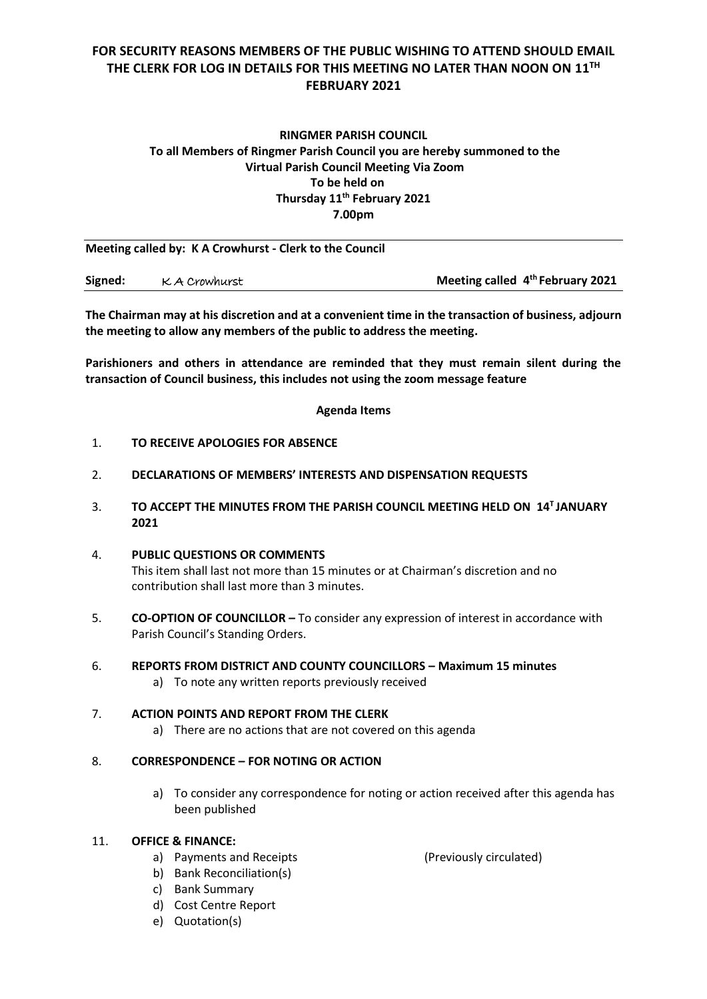# **FOR SECURITY REASONS MEMBERS OF THE PUBLIC WISHING TO ATTEND SHOULD EMAIL THE CLERK FOR LOG IN DETAILS FOR THIS MEETING NO LATER THAN NOON ON 11 TH FEBRUARY 2021**

# **RINGMER PARISH COUNCIL To all Members of Ringmer Parish Council you are hereby summoned to the Virtual Parish Council Meeting Via Zoom To be held on Thursday 11 th February 2021 7.00pm**

**Meeting called by: K A Crowhurst - Clerk to the Council** 

| Signed: | K A Crowhurst | Meeting called 4 <sup>th</sup> February 2021 |
|---------|---------------|----------------------------------------------|
|         |               |                                              |

**The Chairman may at his discretion and at a convenient time in the transaction of business, adjourn the meeting to allow any members of the public to address the meeting.**

**Parishioners and others in attendance are reminded that they must remain silent during the transaction of Council business, this includes not using the zoom message feature**

**Agenda Items**

- 1. **TO RECEIVE APOLOGIES FOR ABSENCE**
- 2. **DECLARATIONS OF MEMBERS' INTERESTS AND DISPENSATION REQUESTS**
- 3. TO ACCEPT THE MINUTES FROM THE PARISH COUNCIL MEETING HELD ON 14<sup>T</sup> JANUARY **2021**
- 4. **PUBLIC QUESTIONS OR COMMENTS**  This item shall last not more than 15 minutes or at Chairman's discretion and no contribution shall last more than 3 minutes.
- 5. **CO-OPTION OF COUNCILLOR –** To consider any expression of interest in accordance with Parish Council's Standing Orders.
- 6. **REPORTS FROM DISTRICT AND COUNTY COUNCILLORS – Maximum 15 minutes** a) To note any written reports previously received
- 7. **ACTION POINTS AND REPORT FROM THE CLERK** a) There are no actions that are not covered on this agenda

#### 8. **CORRESPONDENCE – FOR NOTING OR ACTION**

a) To consider any correspondence for noting or action received after this agenda has been published

#### 11. **OFFICE & FINANCE:**

a) Payments and Receipts (Previously circulated) b) Bank Reconciliation(s)

- c) Bank Summary
- d) Cost Centre Report
- e) Quotation(s)